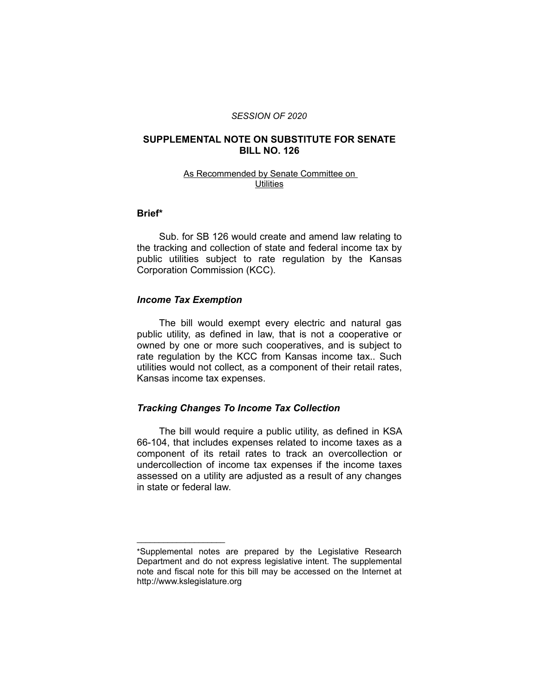#### *SESSION OF 2020*

## **SUPPLEMENTAL NOTE ON SUBSTITUTE FOR SENATE BILL NO. 126**

#### As Recommended by Senate Committee on **Utilities**

# **Brief\***

Sub. for SB 126 would create and amend law relating to the tracking and collection of state and federal income tax by public utilities subject to rate regulation by the Kansas Corporation Commission (KCC).

#### *Income Tax Exemption*

 $\overline{\phantom{a}}$  , where  $\overline{\phantom{a}}$  , where  $\overline{\phantom{a}}$ 

The bill would exempt every electric and natural gas public utility, as defined in law, that is not a cooperative or owned by one or more such cooperatives, and is subject to rate regulation by the KCC from Kansas income tax.. Such utilities would not collect, as a component of their retail rates, Kansas income tax expenses.

## *Tracking Changes To Income Tax Collection*

The bill would require a public utility, as defined in KSA 66-104, that includes expenses related to income taxes as a component of its retail rates to track an overcollection or undercollection of income tax expenses if the income taxes assessed on a utility are adjusted as a result of any changes in state or federal law.

<sup>\*</sup>Supplemental notes are prepared by the Legislative Research Department and do not express legislative intent. The supplemental note and fiscal note for this bill may be accessed on the Internet at http://www.kslegislature.org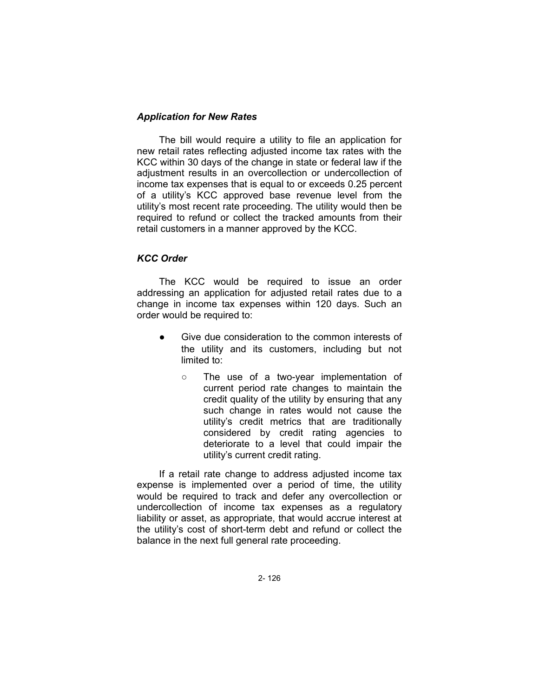## *Application for New Rates*

The bill would require a utility to file an application for new retail rates reflecting adjusted income tax rates with the KCC within 30 days of the change in state or federal law if the adjustment results in an overcollection or undercollection of income tax expenses that is equal to or exceeds 0.25 percent of a utility's KCC approved base revenue level from the utility's most recent rate proceeding. The utility would then be required to refund or collect the tracked amounts from their retail customers in a manner approved by the KCC.

## *KCC Order*

The KCC would be required to issue an order addressing an application for adjusted retail rates due to a change in income tax expenses within 120 days. Such an order would be required to:

- Give due consideration to the common interests of the utility and its customers, including but not limited to:
	- The use of a two-year implementation of current period rate changes to maintain the credit quality of the utility by ensuring that any such change in rates would not cause the utility's credit metrics that are traditionally considered by credit rating agencies to deteriorate to a level that could impair the utility's current credit rating.

If a retail rate change to address adjusted income tax expense is implemented over a period of time, the utility would be required to track and defer any overcollection or undercollection of income tax expenses as a regulatory liability or asset, as appropriate, that would accrue interest at the utility's cost of short-term debt and refund or collect the balance in the next full general rate proceeding.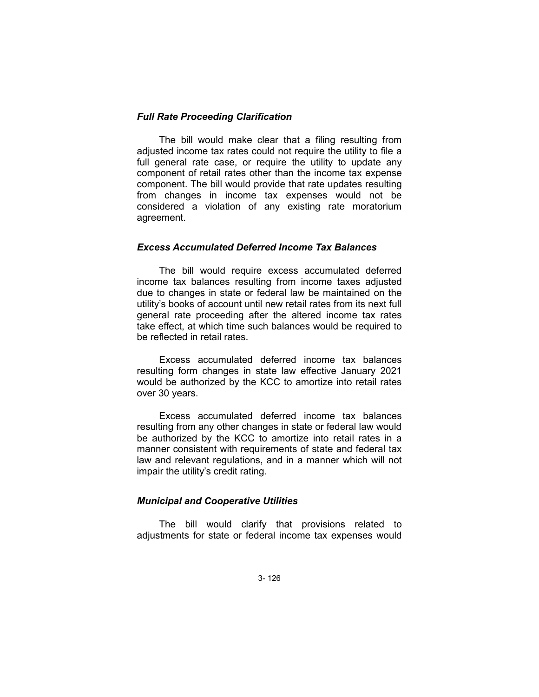#### *Full Rate Proceeding Clarification*

The bill would make clear that a filing resulting from adjusted income tax rates could not require the utility to file a full general rate case, or require the utility to update any component of retail rates other than the income tax expense component. The bill would provide that rate updates resulting from changes in income tax expenses would not be considered a violation of any existing rate moratorium agreement.

# *Excess Accumulated Deferred Income Tax Balances*

The bill would require excess accumulated deferred income tax balances resulting from income taxes adjusted due to changes in state or federal law be maintained on the utility's books of account until new retail rates from its next full general rate proceeding after the altered income tax rates take effect, at which time such balances would be required to be reflected in retail rates.

Excess accumulated deferred income tax balances resulting form changes in state law effective January 2021 would be authorized by the KCC to amortize into retail rates over 30 years.

Excess accumulated deferred income tax balances resulting from any other changes in state or federal law would be authorized by the KCC to amortize into retail rates in a manner consistent with requirements of state and federal tax law and relevant regulations, and in a manner which will not impair the utility's credit rating.

# *Municipal and Cooperative Utilities*

The bill would clarify that provisions related to adjustments for state or federal income tax expenses would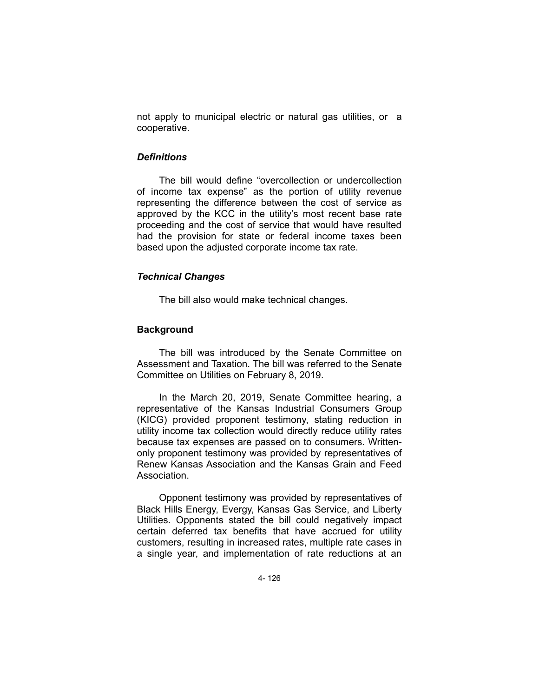not apply to municipal electric or natural gas utilities, or a cooperative.

### *Definitions*

The bill would define "overcollection or undercollection of income tax expense" as the portion of utility revenue representing the difference between the cost of service as approved by the KCC in the utility's most recent base rate proceeding and the cost of service that would have resulted had the provision for state or federal income taxes been based upon the adjusted corporate income tax rate.

#### *Technical Changes*

The bill also would make technical changes.

## **Background**

The bill was introduced by the Senate Committee on Assessment and Taxation. The bill was referred to the Senate Committee on Utilities on February 8, 2019.

In the March 20, 2019, Senate Committee hearing, a representative of the Kansas Industrial Consumers Group (KICG) provided proponent testimony, stating reduction in utility income tax collection would directly reduce utility rates because tax expenses are passed on to consumers. Writtenonly proponent testimony was provided by representatives of Renew Kansas Association and the Kansas Grain and Feed Association.

Opponent testimony was provided by representatives of Black Hills Energy, Evergy, Kansas Gas Service, and Liberty Utilities. Opponents stated the bill could negatively impact certain deferred tax benefits that have accrued for utility customers, resulting in increased rates, multiple rate cases in a single year, and implementation of rate reductions at an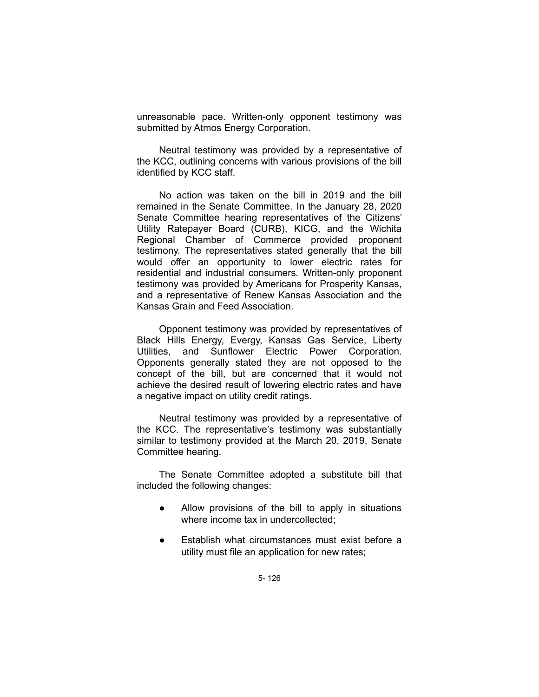unreasonable pace. Written-only opponent testimony was submitted by Atmos Energy Corporation.

Neutral testimony was provided by a representative of the KCC, outlining concerns with various provisions of the bill identified by KCC staff.

No action was taken on the bill in 2019 and the bill remained in the Senate Committee. In the January 28, 2020 Senate Committee hearing representatives of the Citizens' Utility Ratepayer Board (CURB), KICG, and the Wichita Regional Chamber of Commerce provided proponent testimony. The representatives stated generally that the bill would offer an opportunity to lower electric rates for residential and industrial consumers. Written-only proponent testimony was provided by Americans for Prosperity Kansas, and a representative of Renew Kansas Association and the Kansas Grain and Feed Association.

Opponent testimony was provided by representatives of Black Hills Energy, Evergy, Kansas Gas Service, Liberty Utilities, and Sunflower Electric Power Corporation. Opponents generally stated they are not opposed to the concept of the bill, but are concerned that it would not achieve the desired result of lowering electric rates and have a negative impact on utility credit ratings.

Neutral testimony was provided by a representative of the KCC. The representative's testimony was substantially similar to testimony provided at the March 20, 2019, Senate Committee hearing.

The Senate Committee adopted a substitute bill that included the following changes:

- Allow provisions of the bill to apply in situations where income tax in undercollected;
- Establish what circumstances must exist before a utility must file an application for new rates;